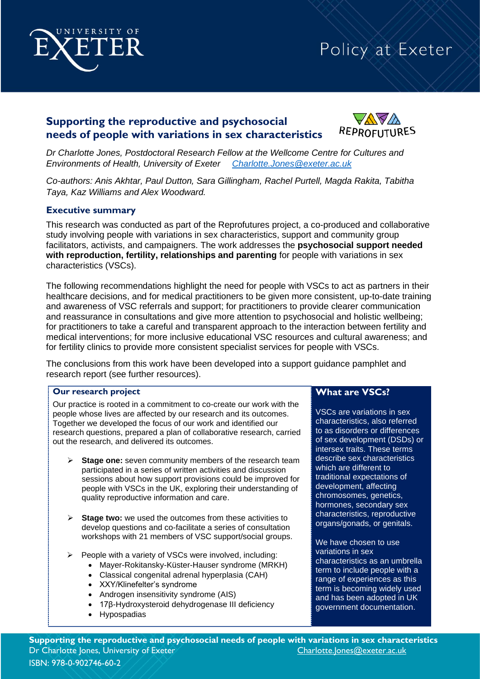

## **Supporting the reproductive and psychosocial needs of people with variations in sex characteristics**



*Dr Charlotte Jones, Postdoctoral Research Fellow at the Wellcome Centre for Cultures and Environments of Health, University of Exeter [Charlotte.Jones@exeter.ac.uk](mailto:Charlotte.Jones@exeter.ac.uk)*

*Co-authors: Anis Akhtar, Paul Dutton, Sara Gillingham, Rachel Purtell, Magda Rakita, Tabitha Taya, Kaz Williams and Alex Woodward.*

#### **Executive summary**

This research was conducted as part of the Reprofutures project, a co-produced and collaborative study involving people with variations in sex characteristics, support and community group facilitators, activists, and campaigners. The work addresses the **psychosocial support needed with reproduction, fertility, relationships and parenting** for people with variations in sex characteristics (VSCs).

The following recommendations highlight the need for people with VSCs to act as partners in their healthcare decisions, and for medical practitioners to be given more consistent, up-to-date training and awareness of VSC referrals and support; for practitioners to provide clearer communication and reassurance in consultations and give more attention to psychosocial and holistic wellbeing; for practitioners to take a careful and transparent approach to the interaction between fertility and medical interventions; for more inclusive educational VSC resources and cultural awareness; and for fertility clinics to provide more consistent specialist services for people with VSCs.

The conclusions from this work have been developed into a support guidance pamphlet and research report (see further resources).

#### **Our research project**

Our practice is rooted in a commitment to co-create our work with the people whose lives are affected by our research and its outcomes. Together we developed the focus of our work and identified our research questions, prepared a plan of collaborative research, carried out the research, and delivered its outcomes.

- **Stage one:** seven community members of the research team participated in a series of written activities and discussion sessions about how support provisions could be improved for people with VSCs in the UK, exploring their understanding of quality reproductive information and care.
- ➢ **Stage two:** we used the outcomes from these activities to develop questions and co-facilitate a series of consultation workshops with 21 members of VSC support/social groups.
- ➢ People with a variety of VSCs were involved, including:
	- Mayer-Rokitansky-Küster-Hauser syndrome (MRKH)
	- Classical congenital adrenal hyperplasia (CAH)
	- XXY/Klinefelter's syndrome
	- Androgen insensitivity syndrome (AIS)
	- 17β-Hydroxysteroid dehydrogenase III deficiency
	- Hypospadias

## **What are VSCs?**

VSCs are variations in sex characteristics, also referred to as disorders or differences of sex development (DSDs) or intersex traits. These terms describe sex characteristics which are different to traditional expectations of development, affecting chromosomes, genetics, hormones, secondary sex characteristics, reproductive organs/gonads, or genitals.

We have chosen to use variations in sex characteristics as an umbrella term to include people with a range of experiences as this term is becoming widely used and has been adopted in UK government documentation.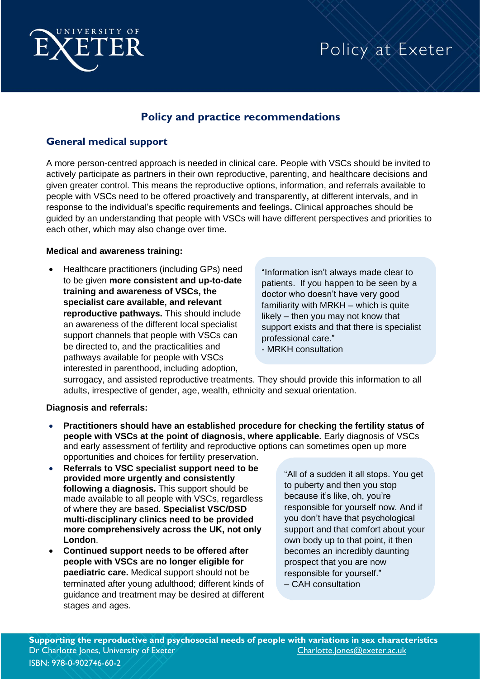

## **Policy and practice recommendations**

## **General medical support**

A more person-centred approach is needed in clinical care. People with VSCs should be invited to actively participate as partners in their own reproductive, parenting, and healthcare decisions and given greater control. This means the reproductive options, information, and referrals available to people with VSCs need to be offered proactively and transparently**,** at different intervals, and in response to the individual's specific requirements and feelings**.** Clinical approaches should be guided by an understanding that people with VSCs will have different perspectives and priorities to each other, which may also change over time.

### **Medical and awareness training:**

• Healthcare practitioners (including GPs) need to be given **more consistent and up-to-date training and awareness of VSCs, the specialist care available, and relevant reproductive pathways.** This should include an awareness of the different local specialist support channels that people with VSCs can be directed to, and the practicalities and pathways available for people with VSCs interested in parenthood, including adoption,

"Information isn't always made clear to patients. If you happen to be seen by a doctor who doesn't have very good familiarity with MRKH – which is quite likely – then you may not know that support exists and that there is specialist professional care."

- MRKH consultation

surrogacy, and assisted reproductive treatments. They should provide this information to all adults, irrespective of gender, age, wealth, ethnicity and sexual orientation.

### **Diagnosis and referrals:**

- **Practitioners should have an established procedure for checking the fertility status of people with VSCs at the point of diagnosis, where applicable.** Early diagnosis of VSCs and early assessment of fertility and reproductive options can sometimes open up more opportunities and choices for fertility preservation.
- **Referrals to VSC specialist support need to be provided more urgently and consistently following a diagnosis.** This support should be made available to all people with VSCs, regardless of where they are based. **Specialist VSC/DSD multi-disciplinary clinics need to be provided more comprehensively across the UK, not only London**.
- **Continued support needs to be offered after people with VSCs are no longer eligible for paediatric care.** Medical support should not be terminated after young adulthood; different kinds of guidance and treatment may be desired at different stages and ages.

"All of a sudden it all stops. You get to puberty and then you stop because it's like, oh, you're responsible for yourself now. And if you don't have that psychological support and that comfort about your own body up to that point, it then becomes an incredibly daunting prospect that you are now responsible for yourself." – CAH consultation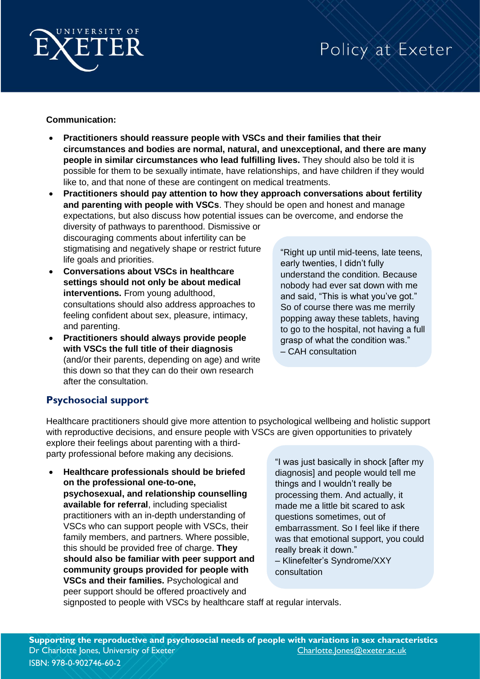

## **Communication:**

- **Practitioners should reassure people with VSCs and their families that their circumstances and bodies are normal, natural, and unexceptional, and there are many people in similar circumstances who lead fulfilling lives.** They should also be told it is possible for them to be sexually intimate, have relationships, and have children if they would like to, and that none of these are contingent on medical treatments.
- **Practitioners should pay attention to how they approach conversations about fertility and parenting with people with VSCs**. They should be open and honest and manage expectations, but also discuss how potential issues can be overcome, and endorse the diversity of pathways to parenthood. Dismissive or

discouraging comments about infertility can be stigmatising and negatively shape or restrict future life goals and priorities.

- **Conversations about VSCs in healthcare settings should not only be about medical interventions.** From young adulthood, consultations should also address approaches to feeling confident about sex, pleasure, intimacy, and parenting.
- **Practitioners should always provide people with VSCs the full title of their diagnosis**  (and/or their parents, depending on age) and write this down so that they can do their own research after the consultation.

"Right up until mid-teens, late teens, early twenties, I didn't fully understand the condition. Because nobody had ever sat down with me and said, "This is what you've got." So of course there was me merrily popping away these tablets, having to go to the hospital, not having a full grasp of what the condition was." – CAH consultation

## **Psychosocial support**

Healthcare practitioners should give more attention to psychological wellbeing and holistic support with reproductive decisions, and ensure people with VSCs are given opportunities to privately explore their feelings about parenting with a third-

party professional before making any decisions.

• **Healthcare professionals should be briefed on the professional one-to-one, psychosexual, and relationship counselling available for referral**, including specialist practitioners with an in-depth understanding of VSCs who can support people with VSCs, their family members, and partners. Where possible, this should be provided free of charge. **They should also be familiar with peer support and community groups provided for people with VSCs and their families.** Psychological and peer support should be offered proactively and

"I was just basically in shock [after my diagnosis] and people would tell me things and I wouldn't really be processing them. And actually, it made me a little bit scared to ask questions sometimes, out of embarrassment. So I feel like if there was that emotional support, you could really break it down." – Klinefelter's Syndrome/XXY

consultation

signposted to people with VSCs by healthcare staff at regular intervals.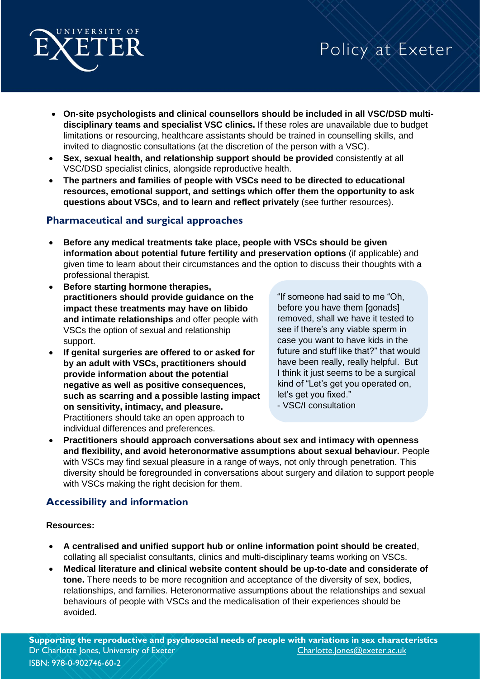

- **On-site psychologists and clinical counsellors should be included in all VSC/DSD multidisciplinary teams and specialist VSC clinics.** If these roles are unavailable due to budget limitations or resourcing, healthcare assistants should be trained in counselling skills, and invited to diagnostic consultations (at the discretion of the person with a VSC).
- **Sex, sexual health, and relationship support should be provided** consistently at all VSC/DSD specialist clinics, alongside reproductive health.
- **The partners and families of people with VSCs need to be directed to educational resources, emotional support, and settings which offer them the opportunity to ask questions about VSCs, and to learn and reflect privately** (see further resources).

## **Pharmaceutical and surgical approaches**

- **Before any medical treatments take place, people with VSCs should be given information about potential future fertility and preservation options** (if applicable) and given time to learn about their circumstances and the option to discuss their thoughts with a professional therapist.
- **Before starting hormone therapies, practitioners should provide guidance on the impact these treatments may have on libido and intimate relationships** and offer people with VSCs the option of sexual and relationship support.
- **If genital surgeries are offered to or asked for by an adult with VSCs, practitioners should provide information about the potential negative as well as positive consequences, such as scarring and a possible lasting impact on sensitivity, intimacy, and pleasure.** Practitioners should take an open approach to individual differences and preferences.

"If someone had said to me "Oh, before you have them [gonads] removed, shall we have it tested to see if there's any viable sperm in case you want to have kids in the future and stuff like that?" that would have been really, really helpful. But I think it just seems to be a surgical kind of "Let's get you operated on, let's get you fixed." - VSC/I consultation

• **Practitioners should approach conversations about sex and intimacy with openness and flexibility, and avoid heteronormative assumptions about sexual behaviour.** People with VSCs may find sexual pleasure in a range of ways, not only through penetration. This diversity should be foregrounded in conversations about surgery and dilation to support people with VSCs making the right decision for them.

# **Accessibility and information**

## **Resources:**

- **A centralised and unified support hub or online information point should be created**, collating all specialist consultants, clinics and multi-disciplinary teams working on VSCs.
- **Medical literature and clinical website content should be up-to-date and considerate of tone.** There needs to be more recognition and acceptance of the diversity of sex, bodies, relationships, and families. Heteronormative assumptions about the relationships and sexual behaviours of people with VSCs and the medicalisation of their experiences should be avoided.